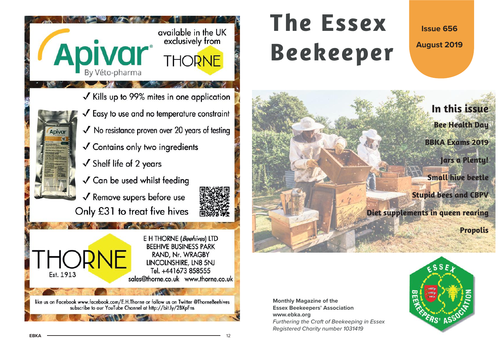

# **The EssexBeekeeper**

**Issue 656**

**August 2019**



**Monthly Magazine of the Essex Beekeepers' Association www.ebka.org** Furthering the Craft of Beekeeping in Essex Registered Charity number 1031419

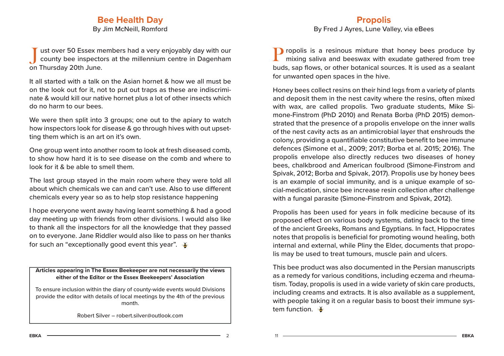## **Bee Health Day**

By Jim McNeill, Romford

ust over 50 Essex members had a very enjoyably day with our county bee inspectors at the millennium centre in Dagenham on Thursday 20th June.

It all started with a talk on the Asian hornet & how we all must be on the look out for it, not to put out traps as these are indiscriminate & would kill our native hornet plus a lot of other insects which do no harm to our bees.

We were then split into 3 groups; one out to the apiary to watch how inspectors look for disease & go through hives with out upsetting them which is an art on it's own.

One group went into another room to look at fresh diseased comb, to show how hard it is to see disease on the comb and where to look for it & be able to smell them.

The last group stayed in the main room where they were told all about which chemicals we can and can't use. Also to use different chemicals every year so as to help stop resistance happening

I hope everyone went away having learnt something & had a good day meeting up with friends from other divisions. I would also like to thank all the inspectors for all the knowledge that they passed on to everyone. Jane Riddler would also like to pass on her thanks for such an "exceptionally good event this year".

**Articles appearing in The Essex Beekeeper are not necessarily the views either of the Editor or the Essex Beekeepers' Association**

To ensure inclusion within the diary of county-wide events would Divisions provide the editor with details of local meetings by the 4th of the previous month.

Robert Silver – robert.silver@outlook.com

#### **Propolis**

By Fred J Ayres, Lune Valley, via eBees

**P** ropolis is a resinous mixture that honey bees produce by mixing saliva and beeswax with exudate gathered from tree buds, sap flows, or other botanical sources. It is used as a sealant for unwanted open spaces in the hive.

Honey bees collect resins on their hind legs from a variety of plants and deposit them in the nest cavity where the resins, often mixed with wax, are called propolis. Two graduate students, Mike Simone-Finstrom (PhD 2010) and Renata Borba (PhD 2015) demonstrated that the presence of a propolis envelope on the inner walls of the nest cavity acts as an antimicrobial layer that enshrouds the colony, providing a quantifiable constitutive benefit to bee immune defences (Simone et al., 2009; 2017; Borba et al. 2015; 2016). The propolis envelope also directly reduces two diseases of honey bees, chalkbrood and American foulbrood (Simone-Finstrom and Spivak, 2012; Borba and Spivak, 2017). Propolis use by honey bees is an example of social immunity, and is a unique example of social-medication, since bee increase resin collection after challenge with a fungal parasite (Simone-Finstrom and Spivak, 2012).

Propolis has been used for years in folk medicine because of its proposed effect on various body systems, dating back to the time of the ancient Greeks, Romans and Egyptians. In fact, Hippocrates notes that propolis is beneficial for promoting wound healing, both internal and external, while Pliny the Elder, documents that propolis may be used to treat tumours, muscle pain and ulcers.

This bee product was also documented in the Persian manuscripts as a remedy for various conditions, including eczema and rheumatism. Today, propolis is used in a wide variety of skin care products, including creams and extracts. It is also available as a supplement, with people taking it on a regular basis to boost their immune system function.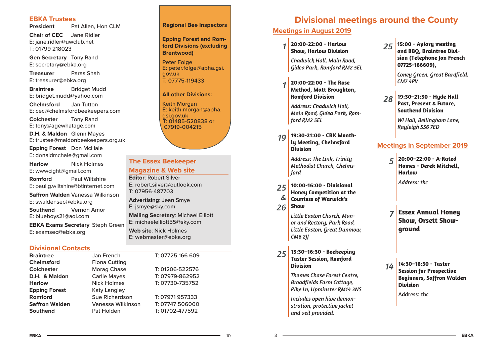#### **EBKA Trustees**

**President**Pat Allen, Hon CLM

**Chair of CEC** Jane Ridler E: jane.ridler@uwclub.net T: 01799 218023

**Gen Secretary** Tony Rand E: secretary@ebka.org

**Treasurer** Paras ShahE: treasurer@ebka.org

**Braintree** Bridget Mudd E: bridget.mudd@yahoo.com

**Chelmsford** Jan Tutton E: cec@chelmsfordbeekeepers.com

**Colchester** Tony Rand E: tony@agewhatage.com

**D.H. & Maldon** Glenn Mayes E: trustee@maldonbeekeepers.org.uk

**Epping Forest** Don McHale E: donaldmchale@gmail.com

**Harlow** Nick Holmes E: wwwcight@gmail.com **Romford** Paul Wiltshire E: paul.g.wiltshire@btinternet.com

**Saff ron Walden** Vanessa Wilkinson E: swaldensec@ebka.org

**Southend** Vernon Amor E: blueboys21@aol.com

**EBKA Exams Secretary** Steph Green E: examsec@ebka.org

#### **Divisional Contacts**

| <b>Braintree</b>      | Jan French            | T: 07725 166 609 |
|-----------------------|-----------------------|------------------|
| <b>Chelmsford</b>     | <b>Fiona Cutting</b>  |                  |
| <b>Colchester</b>     | <b>Morag Chase</b>    | T: 01206-522576  |
| D.H. & Maldon         | <b>Carlie Mayes</b>   | T: 07979-862952  |
| <b>Harlow</b>         | <b>Nick Holmes</b>    | T: 07730-735752  |
| <b>Epping Forest</b>  | <b>Katy Langley</b>   |                  |
| Romford               | <b>Sue Richardson</b> | T: 07971957333   |
| <b>Saffron Walden</b> | Vanessa Wilkinson     | T: 07747 506000  |
| <b>Southend</b>       | Pat Holden            | T: 01702-477592  |

#### **Regional Bee Inspectors**

**Epping Forest and Romford Divisions (excluding Brentwood)**

Peter Folge E: peter.folge@apha.gsi. gov.uk T: 07775-119433

#### **All other Divisions:**

Keith Morgan E: keith.morgan@apha. gsi.gov.uk T: 01485-520838 or 07919-004215

#### **The Essex Beekeeper**

#### **Magazine & Web site**

**Editor**: Robert SilverE: robert.silver@outlook.comT: 07956-487703

**Advertising**: Jean Smye E: jsmye@sky.com

**Mailing Secretary**: Michael Elliott E: michaelelliott55@sky.com

**Web site**: Nick HolmesE: webmaster@ebka.org

# **Divisional meetings around the County**

#### **Meetings in August 2019**

*1***20:00-22:00 - Harlow Show, Harlow Division**

*Chadwick Hall, Main Road, Gidea Park, Romford RM2 5EL*

*1* **20:00-22:00 - The Rose Method, Matt Broughton, Romford Division**

*Address: Chadwick Hall, Main Road, Gidea Park, Romford RM2 5EL*

*19* **19:30-21:00 - CBK Month- ly Meeting, Chelmsford Division**

> *Address: The Link, Trinity Methodist Church, Chelmsford*

- *25&* **10:00-16:00 - Divisional Honey Competition at the Countess of Warwick's**
- *26***Show**

3

*Little Easton Church, Manor and Rectory, Park Road, Little Easton, Great Dunmow, CM6 2JJ*

*25* **13:30–16:30 - Beekeeping Taster Session, Romford Division**

> *Thames Chase Forest Centre, Broadfields Farm Cottage, Pike Ln, Upminster RM14 3NS*

*Includes open hive demonstration, protective jacket and veil provided.*

*25* **15:00 - Apiary meeting and BBQ, Braintree Division (Telephone Jan French 07725-166609),** 

> *Coney Green, Great Bardfield, CM7 4PV*

*28* **19:30–21:30 - Hyde Hall Past, Present & Future, Southend Division**

> *WI Hall, Bellingham Lane, Rayleigh SS6 7ED*

#### **Meetings in September 2019**

*5* **20:00–22:00 - A-Rated Homes - Derek Mitchell, Harlow**

*Address: tbc*

- *7* **Essex Annual Honey Show, Orsett Showground**
- *14* **14:30–16:30 - Taster Session for Prospective Beginners, Saffron Walden Division**

Address: tbc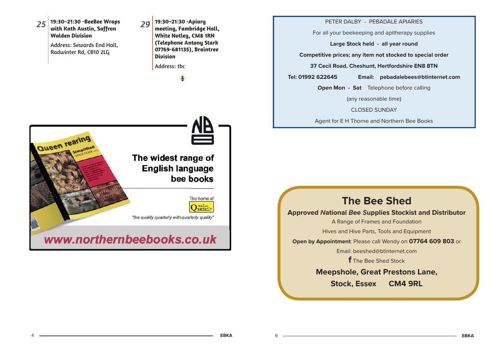

#### **Meepshole, Great Prestons Lane,**

**Stock, Essex CM4 9RL**

 $\mathsf{Q}$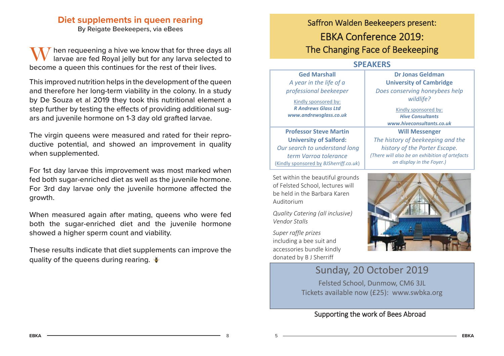# **Diet supplements in queen rearing**

By Reigate Beekeepers, via eBees

hen requeening a hive we know that for three days all larvae are fed Royal jelly but for any larva selected to become a queen this continues for the rest of their lives.

This improved nutrition helps in the development of the queen and therefore her long-term viability in the colony. In a study by De Souza et al 2019 they took this nutritional element a step further by testing the effects of providing additional sugars and juvenile hormone on 1-3 day old grafted larvae.

The virgin queens were measured and rated for their reproductive potential, and showed an improvement in quality when supplemented.

For 1st day larvae this improvement was most marked when fed both sugar-enriched diet as well as the juvenile hormone. For 3rd day larvae only the juvenile hormone affected the growth.

When measured again after mating, queens who were fed both the sugar-enriched diet and the juvenile hormone showed a higher sperm count and viability.

These results indicate that diet supplements can improve the quality of the queens during rearing.  $\frac{3}{2}$ 

# Saffron Walden Beekeepers present: EBKA Conference 2019: The Changing Face of Beekeeping

## **SPEAKERS**

| <b>Ged Marshall</b><br>A year in the life of a<br>professional beekeeper<br>Kindly sponsored by:<br><b>R Andrews Glass Ltd</b><br>www.andrewsglass.co.uk | <b>Dr Jonas Geldman</b><br><b>University of Cambridge</b><br>Does conserving honeybees help<br>wildlife?<br>Kindly sponsored by:<br><b>Hive Consultants</b><br>www.hiveconsultants.co.uk |
|----------------------------------------------------------------------------------------------------------------------------------------------------------|------------------------------------------------------------------------------------------------------------------------------------------------------------------------------------------|
| <b>Professor Steve Martin</b>                                                                                                                            | <b>Will Messenger</b>                                                                                                                                                                    |
| <b>University of Salford:</b>                                                                                                                            | The history of beekeeping and the                                                                                                                                                        |
| Our search to understand long                                                                                                                            | history of the Porter Escape.                                                                                                                                                            |
| term Varroa tolerance                                                                                                                                    | (There will also be an exhibition of artefacts                                                                                                                                           |
| (Kindly sponsored by BJSherriff.co.uk)                                                                                                                   | on display in the Foyer.)                                                                                                                                                                |

Set within the beautiful grounds of Felsted School, lectures will be held in the Barbara Karen Auditorium

*Quality Catering (all inclusive) Vendor Stalls*

*Super raffle prizes*  including a bee suit and accessories bundle kindly donated by B J Sherriff



# Sunday, 20 October 2019

Felsted School, Dunmow, CM6 3JL Tickets available now (£25): www.swbka.org

## Supporting the work of Bees Abroad